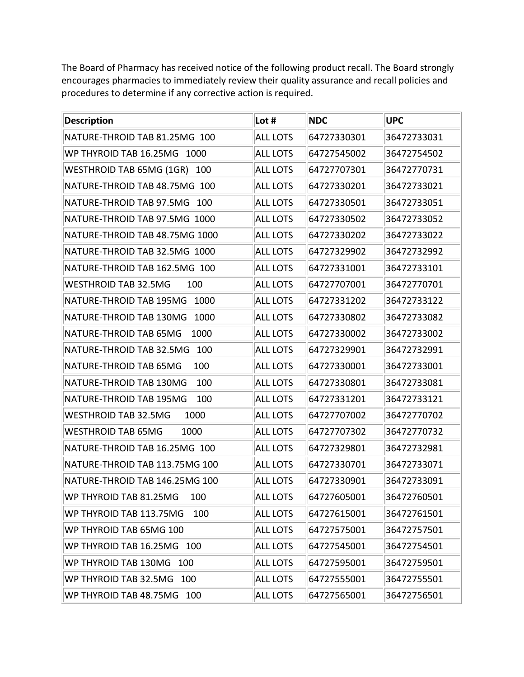The Board of Pharmacy has received notice of the following product recall. The Board strongly encourages pharmacies to immediately review their quality assurance and recall policies and procedures to determine if any corrective action is required.

| <b>Description</b>                     | Lot #           | <b>NDC</b>  | <b>UPC</b>  |
|----------------------------------------|-----------------|-------------|-------------|
| NATURE-THROID TAB 81.25MG 100          | <b>ALL LOTS</b> | 64727330301 | 36472733031 |
| WP THYROID TAB 16.25MG 1000            | <b>ALL LOTS</b> | 64727545002 | 36472754502 |
| <b>WESTHROID TAB 65MG (1GR)</b><br>100 | <b>ALL LOTS</b> | 64727707301 | 36472770731 |
| NATURE-THROID TAB 48.75MG 100          | <b>ALL LOTS</b> | 64727330201 | 36472733021 |
| NATURE-THROID TAB 97.5MG<br>100        | <b>ALL LOTS</b> | 64727330501 | 36472733051 |
| NATURE-THROID TAB 97.5MG 1000          | <b>ALL LOTS</b> | 64727330502 | 36472733052 |
| NATURE-THROID TAB 48.75MG 1000         | <b>ALL LOTS</b> | 64727330202 | 36472733022 |
| NATURE-THROID TAB 32.5MG 1000          | <b>ALL LOTS</b> | 64727329902 | 36472732992 |
| NATURE-THROID TAB 162.5MG 100          | <b>ALL LOTS</b> | 64727331001 | 36472733101 |
| <b>WESTHROID TAB 32.5MG</b><br>100     | <b>ALL LOTS</b> | 64727707001 | 36472770701 |
| 1000<br>NATURE-THROID TAB 195MG        | <b>ALL LOTS</b> | 64727331202 | 36472733122 |
| NATURE-THROID TAB 130MG<br>1000        | <b>ALL LOTS</b> | 64727330802 | 36472733082 |
| 1000<br>NATURE-THROID TAB 65MG         | <b>ALL LOTS</b> | 64727330002 | 36472733002 |
| 100<br>NATURE-THROID TAB 32.5MG        | <b>ALL LOTS</b> | 64727329901 | 36472732991 |
| 100<br>NATURE-THROID TAB 65MG          | <b>ALL LOTS</b> | 64727330001 | 36472733001 |
| 100<br>NATURE-THROID TAB 130MG         | <b>ALL LOTS</b> | 64727330801 | 36472733081 |
| NATURE-THROID TAB 195MG<br>100         | <b>ALL LOTS</b> | 64727331201 | 36472733121 |
| 1000<br><b>WESTHROID TAB 32.5MG</b>    | <b>ALL LOTS</b> | 64727707002 | 36472770702 |
| 1000<br><b>WESTHROID TAB 65MG</b>      | <b>ALL LOTS</b> | 64727707302 | 36472770732 |
| NATURE-THROID TAB 16.25MG 100          | <b>ALL LOTS</b> | 64727329801 | 36472732981 |
| NATURE-THROID TAB 113.75MG 100         | <b>ALL LOTS</b> | 64727330701 | 36472733071 |
| NATURE-THROID TAB 146.25MG 100         | <b>ALL LOTS</b> | 64727330901 | 36472733091 |
| WP THYROID TAB 81.25MG<br>100          | <b>ALL LOTS</b> | 64727605001 | 36472760501 |
| WP THYROID TAB 113.75MG<br>100         | <b>ALL LOTS</b> | 64727615001 | 36472761501 |
| WP THYROID TAB 65MG 100                | <b>ALL LOTS</b> | 64727575001 | 36472757501 |
| WP THYROID TAB 16.25MG 100             | <b>ALL LOTS</b> | 64727545001 | 36472754501 |
| WP THYROID TAB 130MG 100               | <b>ALL LOTS</b> | 64727595001 | 36472759501 |
| WP THYROID TAB 32.5MG<br>100           | <b>ALL LOTS</b> | 64727555001 | 36472755501 |
| WP THYROID TAB 48.75MG<br>100          | <b>ALL LOTS</b> | 64727565001 | 36472756501 |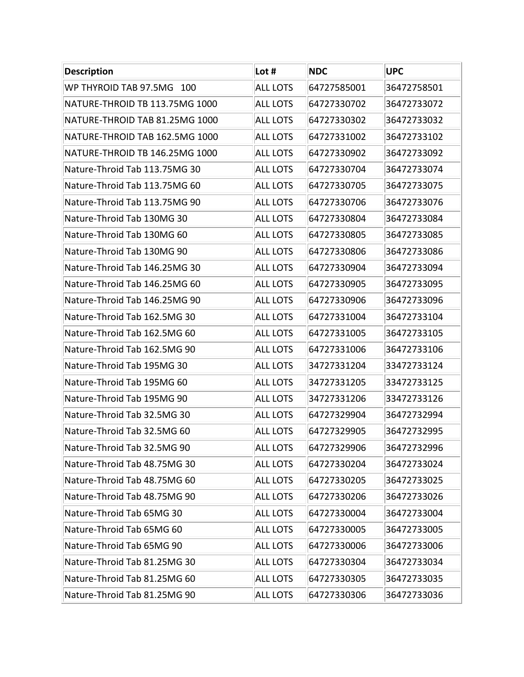| <b>Description</b>             | Lot #           | <b>NDC</b>  | <b>UPC</b>  |
|--------------------------------|-----------------|-------------|-------------|
| WP THYROID TAB 97.5MG 100      | <b>ALL LOTS</b> | 64727585001 | 36472758501 |
| NATURE-THROID TB 113.75MG 1000 | <b>ALL LOTS</b> | 64727330702 | 36472733072 |
| NATURE-THROID TAB 81.25MG 1000 | <b>ALL LOTS</b> | 64727330302 | 36472733032 |
| NATURE-THROID TAB 162.5MG 1000 | <b>ALL LOTS</b> | 64727331002 | 36472733102 |
| NATURE-THROID TB 146.25MG 1000 | <b>ALL LOTS</b> | 64727330902 | 36472733092 |
| Nature-Throid Tab 113.75MG 30  | <b>ALL LOTS</b> | 64727330704 | 36472733074 |
| Nature-Throid Tab 113.75MG 60  | <b>ALL LOTS</b> | 64727330705 | 36472733075 |
| Nature-Throid Tab 113.75MG 90  | <b>ALL LOTS</b> | 64727330706 | 36472733076 |
| Nature-Throid Tab 130MG 30     | <b>ALL LOTS</b> | 64727330804 | 36472733084 |
| Nature-Throid Tab 130MG 60     | <b>ALL LOTS</b> | 64727330805 | 36472733085 |
| Nature-Throid Tab 130MG 90     | <b>ALL LOTS</b> | 64727330806 | 36472733086 |
| Nature-Throid Tab 146.25MG 30  | <b>ALL LOTS</b> | 64727330904 | 36472733094 |
| Nature-Throid Tab 146.25MG 60  | <b>ALL LOTS</b> | 64727330905 | 36472733095 |
| Nature-Throid Tab 146.25MG 90  | <b>ALL LOTS</b> | 64727330906 | 36472733096 |
| Nature-Throid Tab 162.5MG 30   | <b>ALL LOTS</b> | 64727331004 | 36472733104 |
| Nature-Throid Tab 162.5MG 60   | <b>ALL LOTS</b> | 64727331005 | 36472733105 |
| Nature-Throid Tab 162.5MG 90   | <b>ALL LOTS</b> | 64727331006 | 36472733106 |
| Nature-Throid Tab 195MG 30     | <b>ALL LOTS</b> | 34727331204 | 33472733124 |
| Nature-Throid Tab 195MG 60     | <b>ALL LOTS</b> | 34727331205 | 33472733125 |
| Nature-Throid Tab 195MG 90     | <b>ALL LOTS</b> | 34727331206 | 33472733126 |
| Nature-Throid Tab 32.5MG 30    | <b>ALL LOTS</b> | 64727329904 | 36472732994 |
| Nature-Throid Tab 32.5MG 60    | <b>ALL LOTS</b> | 64727329905 | 36472732995 |
| Nature-Throid Tab 32.5MG 90    | <b>ALL LOTS</b> | 64727329906 | 36472732996 |
| Nature-Throid Tab 48.75MG 30   | <b>ALL LOTS</b> | 64727330204 | 36472733024 |
| Nature-Throid Tab 48.75MG 60   | <b>ALL LOTS</b> | 64727330205 | 36472733025 |
| Nature-Throid Tab 48.75MG 90   | <b>ALL LOTS</b> | 64727330206 | 36472733026 |
| Nature-Throid Tab 65MG 30      | <b>ALL LOTS</b> | 64727330004 | 36472733004 |
| Nature-Throid Tab 65MG 60      | <b>ALL LOTS</b> | 64727330005 | 36472733005 |
| Nature-Throid Tab 65MG 90      | <b>ALL LOTS</b> | 64727330006 | 36472733006 |
| Nature-Throid Tab 81.25MG 30   | <b>ALL LOTS</b> | 64727330304 | 36472733034 |
| Nature-Throid Tab 81.25MG 60   | <b>ALL LOTS</b> | 64727330305 | 36472733035 |
| Nature-Throid Tab 81.25MG 90   | <b>ALL LOTS</b> | 64727330306 | 36472733036 |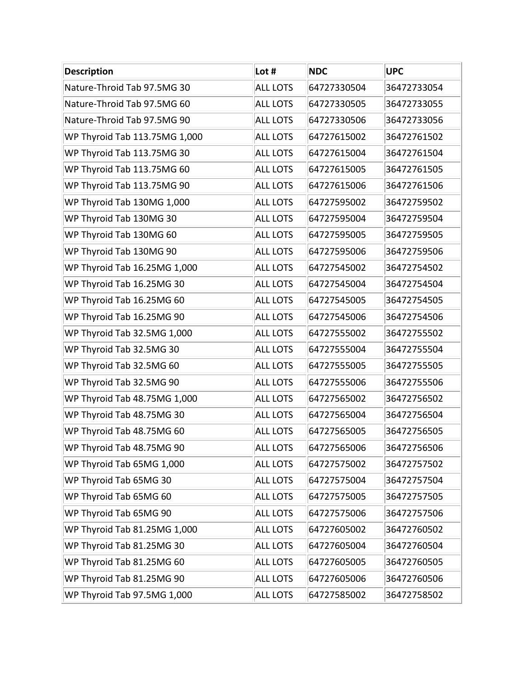| <b>Description</b>            | Lot $#$         | <b>NDC</b>  | <b>UPC</b>  |
|-------------------------------|-----------------|-------------|-------------|
| Nature-Throid Tab 97.5MG 30   | <b>ALL LOTS</b> | 64727330504 | 36472733054 |
| Nature-Throid Tab 97.5MG 60   | <b>ALL LOTS</b> | 64727330505 | 36472733055 |
| Nature-Throid Tab 97.5MG 90   | <b>ALL LOTS</b> | 64727330506 | 36472733056 |
| WP Thyroid Tab 113.75MG 1,000 | <b>ALL LOTS</b> | 64727615002 | 36472761502 |
| WP Thyroid Tab 113.75MG 30    | <b>ALL LOTS</b> | 64727615004 | 36472761504 |
| WP Thyroid Tab 113.75MG 60    | <b>ALL LOTS</b> | 64727615005 | 36472761505 |
| WP Thyroid Tab 113.75MG 90    | <b>ALL LOTS</b> | 64727615006 | 36472761506 |
| WP Thyroid Tab 130MG 1,000    | <b>ALL LOTS</b> | 64727595002 | 36472759502 |
| WP Thyroid Tab 130MG 30       | <b>ALL LOTS</b> | 64727595004 | 36472759504 |
| WP Thyroid Tab 130MG 60       | <b>ALL LOTS</b> | 64727595005 | 36472759505 |
| WP Thyroid Tab 130MG 90       | <b>ALL LOTS</b> | 64727595006 | 36472759506 |
| WP Thyroid Tab 16.25MG 1,000  | <b>ALL LOTS</b> | 64727545002 | 36472754502 |
| WP Thyroid Tab 16.25MG 30     | <b>ALL LOTS</b> | 64727545004 | 36472754504 |
| WP Thyroid Tab 16.25MG 60     | <b>ALL LOTS</b> | 64727545005 | 36472754505 |
| WP Thyroid Tab 16.25MG 90     | <b>ALL LOTS</b> | 64727545006 | 36472754506 |
| WP Thyroid Tab 32.5MG 1,000   | <b>ALL LOTS</b> | 64727555002 | 36472755502 |
| WP Thyroid Tab 32.5MG 30      | <b>ALL LOTS</b> | 64727555004 | 36472755504 |
| WP Thyroid Tab 32.5MG 60      | <b>ALL LOTS</b> | 64727555005 | 36472755505 |
| WP Thyroid Tab 32.5MG 90      | <b>ALL LOTS</b> | 64727555006 | 36472755506 |
| WP Thyroid Tab 48.75MG 1,000  | <b>ALL LOTS</b> | 64727565002 | 36472756502 |
| WP Thyroid Tab 48.75MG 30     | <b>ALL LOTS</b> | 64727565004 | 36472756504 |
| WP Thyroid Tab 48.75MG 60     | <b>ALL LOTS</b> | 64727565005 | 36472756505 |
| WP Thyroid Tab 48.75MG 90     | <b>ALL LOTS</b> | 64727565006 | 36472756506 |
| WP Thyroid Tab 65MG 1,000     | <b>ALL LOTS</b> | 64727575002 | 36472757502 |
| WP Thyroid Tab 65MG 30        | <b>ALL LOTS</b> | 64727575004 | 36472757504 |
| WP Thyroid Tab 65MG 60        | <b>ALL LOTS</b> | 64727575005 | 36472757505 |
| WP Thyroid Tab 65MG 90        | <b>ALL LOTS</b> | 64727575006 | 36472757506 |
| WP Thyroid Tab 81.25MG 1,000  | <b>ALL LOTS</b> | 64727605002 | 36472760502 |
| WP Thyroid Tab 81.25MG 30     | <b>ALL LOTS</b> | 64727605004 | 36472760504 |
| WP Thyroid Tab 81.25MG 60     | <b>ALL LOTS</b> | 64727605005 | 36472760505 |
| WP Thyroid Tab 81.25MG 90     | <b>ALL LOTS</b> | 64727605006 | 36472760506 |
| WP Thyroid Tab 97.5MG 1,000   | <b>ALL LOTS</b> | 64727585002 | 36472758502 |